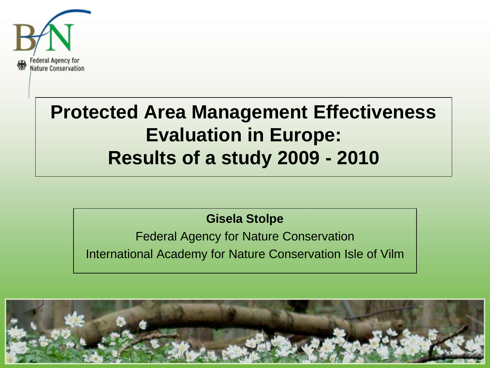

## **Protected Area Management Effectiveness Evaluation in Europe: Results of a study 2009 - 2010**

### **Gisela Stolpe**

Federal Agency for Nature Conservation International Academy for Nature Conservation Isle of Vilm

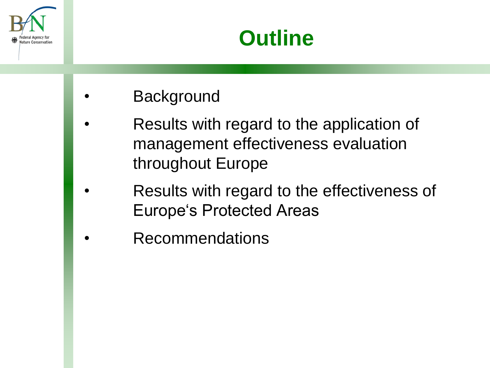

# **Outline**

- **Background**
- Results with regard to the application of management effectiveness evaluation throughout Europe
- Results with regard to the effectiveness of Europe's Protected Areas
- **Recommendations**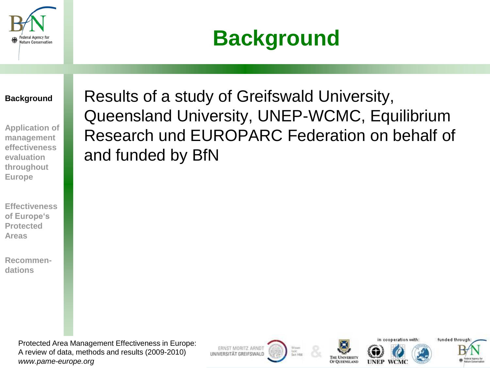



#### **Background**

**Application of management effectiveness evaluation throughout Europe**

**Effectiveness of Europe's Protected Areas**

**Recommendations**

Results of a study of Greifswald University, Queensland University, UNEP-WCMC, Equilibrium Research und EUROPARC Federation on behalf of and funded by BfN

Protected Area Management Effectiveness in Europe: A review of data, methods and results (2009-2010) *www.pame-europe.org*

ERNST MORITZ ARNDT UNIVERSITÄT GREIFSWALD









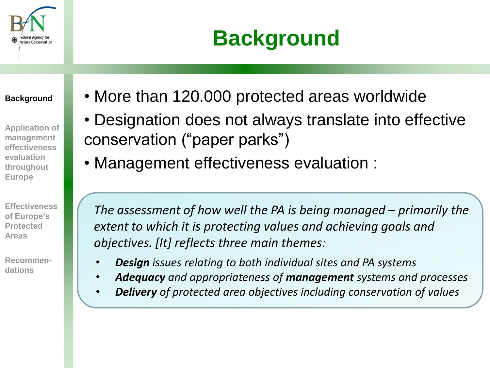

# **Background**

**Background**

**Application of management effectiveness evaluation throughout Europe**

**Effectiveness of Europe's Protected Areas**

**Recommendations**

- More than 120.000 protected areas worldwide
- Designation does not always translate into effective conservation ("paper parks")
- Management effectiveness evaluation :

*The assessment of how well the PA is being managed – primarily the extent to which it is protecting values and achieving goals and objectives. [It] reflects three main themes:*

- *Design issues relating to both individual sites and PA systems*
- *Adequacy and appropriateness of management systems and processes*
- *Delivery of protected area objectives including conservation of values*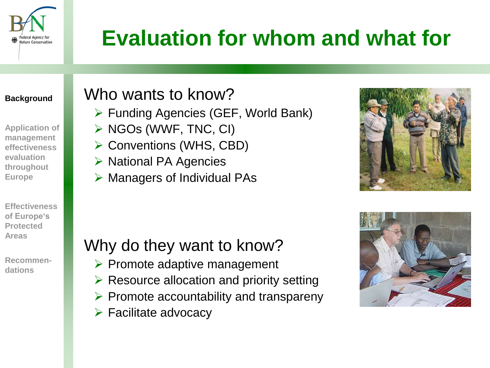

# **Evaluation for whom and what for**

#### **Background**

**Application of management effectiveness evaluation throughout Europe**

**Effectiveness of Europe's Protected Areas**

**Recommendations**

## Who wants to know?

- $\triangleright$  Funding Agencies (GEF, World Bank)
- $\triangleright$  NGOs (WWF, TNC, CI)
- **► Conventions (WHS, CBD)**
- **▶ National PA Agencies**
- $\triangleright$  Managers of Individual PAs



### Why do they want to know?

- $\triangleright$  Promote adaptive management
- $\triangleright$  Resource allocation and priority setting
- $\triangleright$  Promote accountability and transpareny
- $\triangleright$  Facilitate advocacy

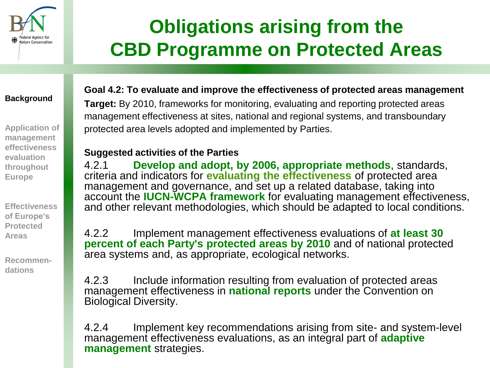

## **Obligations arising from the CBD Programme on Protected Areas**

#### **Background**

**Application of management effectiveness evaluation throughout Europe**

**Effectiveness of Europe's Protected Areas**

**Recommendations**

#### **Goal 4.2: To evaluate and improve the effectiveness of protected areas management Target:** By 2010, frameworks for monitoring, evaluating and reporting protected areas management effectiveness at sites, national and regional systems, and transboundary

protected area levels adopted and implemented by Parties.

#### **Suggested activities of the Parties**

4.2.1 **Develop and adopt, by 2006, appropriate methods**, standards, criteria and indicators for **evaluating the effectiveness** of protected area management and governance, and set up a related database, taking into account the **IUCN-WCPA framework** for evaluating management effectiveness, and other relevant methodologies, which should be adapted to local conditions.

4.2.2 Implement management effectiveness evaluations of **at least 30 percent of each Party's protected areas by 2010** and of national protected area systems and, as appropriate, ecological networks.

4.2.3 Include information resulting from evaluation of protected areas management effectiveness in **national reports** under the Convention on Biological Diversity.

4.2.4 Implement key recommendations arising from site- and system-level management effectiveness evaluations, as an integral part of **adaptive management** strategies.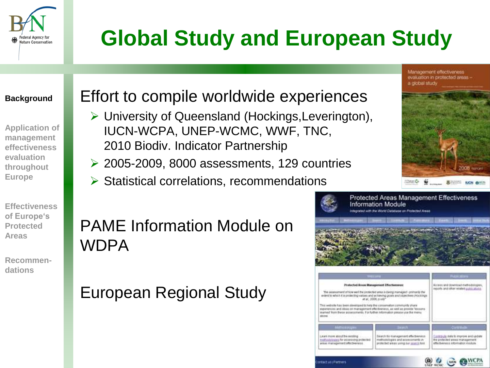

# **Global Study and European Study**

#### **Background**

**Application of management effectiveness evaluation throughout Europe**

**Effectiveness of Europe's Protected Areas**

**Recommendations**

### Effort to compile worldwide experiences

- University of Queensland (Hockings,Leverington), IUCN-WCPA, UNEP-WCMC, WWF, TNC, 2010 Biodiv. Indicator Partnership
- $\geq$  2005-2009, 8000 assessments, 129 countries
- $\triangleright$  Statistical correlations, recommendations

### PAME Information Module on WDPA

European Regional Study



contracts state to improve land update.

**CAWCPA** 

the protected areas management

effectiveness information module

( ucw



laarh tir management affectivenass

nethodologies and essessments in

rotested wreak semplour possibilizer

Learn more about the auction

**Intertion Percent** 

trafficabioges for initiating protected

had management who breness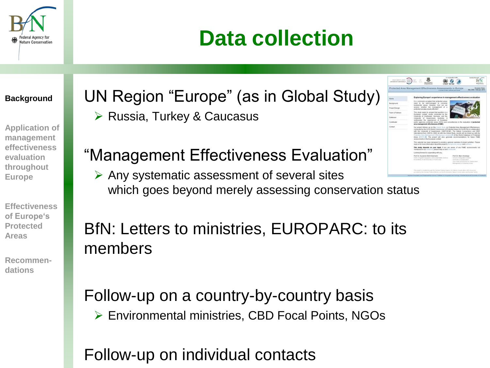

# **Data collection**

#### **Background**

**Application of management effectiveness evaluation throughout Europe**

**Effectiveness of Europe's Protected Areas**

**Recommendations**

UN Region "Europe" (as in Global Study)  $\triangleright$  Russia, Turkey & Caucasus

### "Management Effectiveness Evaluation"

 $\triangleright$  Any systematic assessment of several sites which goes beyond merely assessing conservation status

### BfN: Letters to ministries, EUROPARC: to its members

Follow-up on a country-by-country basis Environmental ministries, CBD Focal Points, NGOs

Follow-up on individual contacts

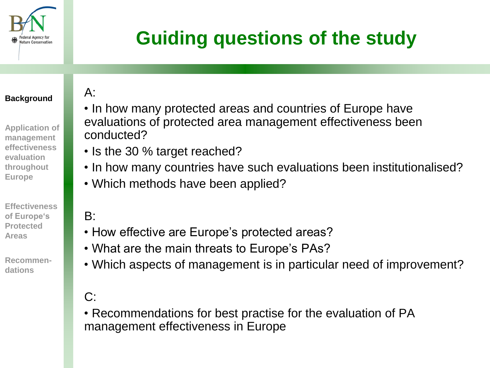

# **Guiding questions of the study**

#### **Background**

**Application of management effectiveness evaluation throughout Europe**

**Effectiveness of Europe's Protected Areas**

**Recommendations**

### $A$ :

- In how many protected areas and countries of Europe have evaluations of protected area management effectiveness been conducted?
- Is the 30 % target reached?
- In how many countries have such evaluations been institutionalised?
- Which methods have been applied?

### $B:$

- How effective are Europe's protected areas?
- What are the main threats to Europe's PAs?
- Which aspects of management is in particular need of improvement?

### $C$ :

• Recommendations for best practise for the evaluation of PA management effectiveness in Europe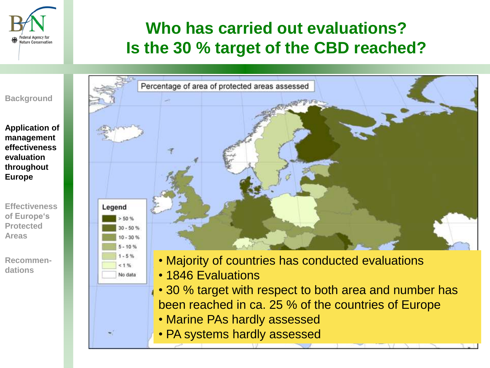

## **Who has carried out evaluations? Is the 30 % target of the CBD reached?**

#### **Background**

**Application of management effectiveness evaluation throughout Europe**

**Effectiveness of Europe's Protected Areas**

**Recommendations**



- Majority of countries has conducted evaluations
- 1846 Evaluations

 $1.96$ No data

- 30 % target with respect to both area and number has been reached in ca. 25 % of the countries of Europe
- Marine PAs hardly assessed
- PA systems hardly assessed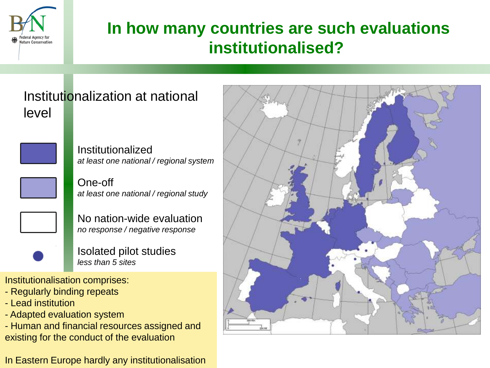

## **In how many countries are such evaluations institutionalised?**

### Institutionalization at national level



Institutionalized *at least one national / regional system*

One-off *at least one national / regional study*

No nation-wide evaluation *no response / negative response*

Isolated pilot studies *less than 5 sites*

Institutionalisation comprises:

- Regularly binding repeats
- Lead institution
- Adapted evaluation system
- Human and financial resources assigned and existing for the conduct of the evaluation

In Eastern Europe hardly any institutionalisation

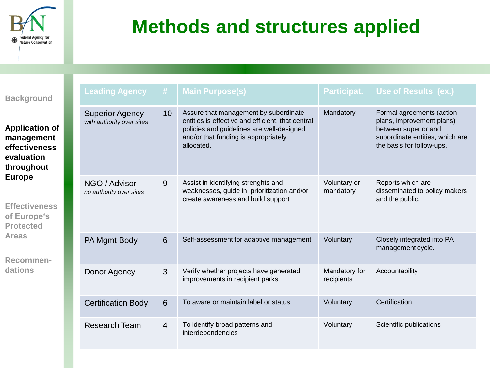

# **Methods and structures applied**

| <b>Background</b>                                                                                                                                                                                           |  | <b>Leading Agency</b>                               | #              | <b>Main Purpose(s)</b>                                                                                                                                                                        | Participat.                 | Use of Results (ex.)                                                                                                                           |
|-------------------------------------------------------------------------------------------------------------------------------------------------------------------------------------------------------------|--|-----------------------------------------------------|----------------|-----------------------------------------------------------------------------------------------------------------------------------------------------------------------------------------------|-----------------------------|------------------------------------------------------------------------------------------------------------------------------------------------|
| <b>Application of</b><br>management<br>effectiveness<br>evaluation<br>throughout<br><b>Europe</b><br><b>Effectiveness</b><br>of Europe's<br><b>Protected</b><br><b>Areas</b><br><b>Recommen-</b><br>dations |  | <b>Superior Agency</b><br>with authority over sites | 10             | Assure that management by subordinate<br>entities is effective and efficient, that central<br>policies and guidelines are well-designed<br>and/or that funding is appropriately<br>allocated. | Mandatory                   | Formal agreements (action<br>plans, improvement plans)<br>between superior and<br>subordinate entities, which are<br>the basis for follow-ups. |
|                                                                                                                                                                                                             |  | NGO / Advisor<br>no authority over sites            | 9              | Assist in identifying strenghts and<br>weaknesses, guide in prioritization and/or<br>create awareness and build support                                                                       | Voluntary or<br>mandatory   | Reports which are<br>disseminated to policy makers<br>and the public.                                                                          |
|                                                                                                                                                                                                             |  | PA Mgmt Body                                        | 6              | Self-assessment for adaptive management                                                                                                                                                       | Voluntary                   | Closely integrated into PA<br>management cycle.                                                                                                |
|                                                                                                                                                                                                             |  | Donor Agency                                        | 3              | Verify whether projects have generated<br>improvements in recipient parks                                                                                                                     | Mandatory for<br>recipients | Accountability                                                                                                                                 |
|                                                                                                                                                                                                             |  | <b>Certification Body</b>                           | 6              | To aware or maintain label or status                                                                                                                                                          | Voluntary                   | Certification                                                                                                                                  |
|                                                                                                                                                                                                             |  | <b>Research Team</b>                                | $\overline{4}$ | To identify broad patterns and<br>interdependencies                                                                                                                                           | Voluntary                   | Scientific publications                                                                                                                        |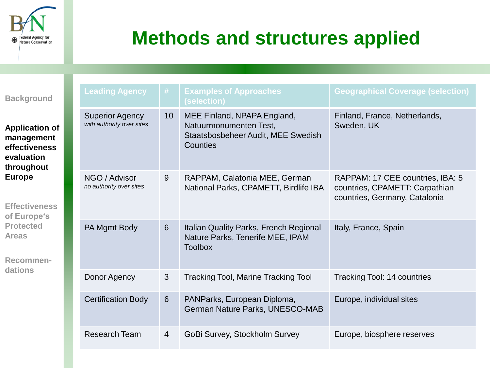

## **Methods and structures applied**

| <b>Background</b>                                                                                                                                                                                    |  | <b>Leading Agency</b>                               | #              | <b>Examples of Approaches</b><br>(selection)                                                            | <b>Geographical Coverage (selection)</b>                                                            |
|------------------------------------------------------------------------------------------------------------------------------------------------------------------------------------------------------|--|-----------------------------------------------------|----------------|---------------------------------------------------------------------------------------------------------|-----------------------------------------------------------------------------------------------------|
| <b>Application of</b><br>management<br>effectiveness<br>evaluation<br>throughout<br><b>Europe</b><br><b>Effectiveness</b><br>of Europe's<br><b>Protected</b><br><b>Areas</b><br>Recommen-<br>dations |  | <b>Superior Agency</b><br>with authority over sites | 10             | MEE Finland, NPAPA England,<br>Natuurmonumenten Test,<br>Staatsbosbeheer Audit, MEE Swedish<br>Counties | Finland, France, Netherlands,<br>Sweden, UK                                                         |
|                                                                                                                                                                                                      |  | NGO / Advisor<br>no authority over sites            | 9              | RAPPAM, Calatonia MEE, German<br>National Parks, CPAMETT, Birdlife IBA                                  | RAPPAM: 17 CEE countries, IBA: 5<br>countries, CPAMETT: Carpathian<br>countries, Germany, Catalonia |
|                                                                                                                                                                                                      |  | PA Mgmt Body                                        | 6              | Italian Quality Parks, French Regional<br>Nature Parks, Tenerife MEE, IPAM<br><b>Toolbox</b>            | Italy, France, Spain                                                                                |
|                                                                                                                                                                                                      |  | Donor Agency                                        | 3              | <b>Tracking Tool, Marine Tracking Tool</b>                                                              | Tracking Tool: 14 countries                                                                         |
|                                                                                                                                                                                                      |  | <b>Certification Body</b>                           | 6              | PANParks, European Diploma,<br>German Nature Parks, UNESCO-MAB                                          | Europe, individual sites                                                                            |
|                                                                                                                                                                                                      |  | <b>Research Team</b>                                | $\overline{4}$ | GoBi Survey, Stockholm Survey                                                                           | Europe, biosphere reserves                                                                          |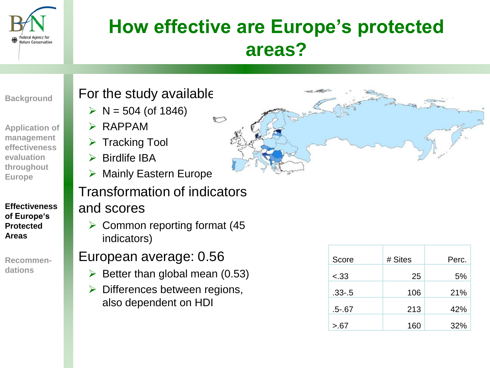

## **How effective are Europe's protected areas?**

**Background**

**Application of management effectiveness evaluation throughout Europe**

**Effectiveness of Europe's Protected Areas**

**Recommendations**

### For the study available

- $\triangleright$  N = 504 (of 1846)
- $\triangleright$  RAPPAM
- $\triangleright$  Tracking Tool
- $\triangleright$  Birdlife IBA
- $\triangleright$  Mainly Eastern Europe

## Transformation of indicators

### and scores

 $\triangleright$  Common reporting format (45) indicators)

### European average: 0.56

- $\triangleright$  Better than global mean (0.53)
- $\triangleright$  Differences between regions, also dependent on HDI



| Score      | # Sites | Perc. |
|------------|---------|-------|
| $-.33$     | 25      | 5%    |
| $.33 - .5$ | 106     | 21%   |
| $.5 - .67$ | 213     | 42%   |
| > 67       | 160     | 32%   |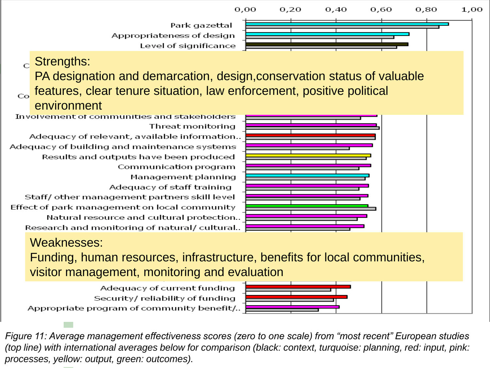

#### Weaknesses:

Funding, human resources, infrastructure, benefits for local communities, visitor management, monitoring and evaluation

Adequacy of current funding Security/reliability of funding Appropriate program of community benefit/..



*Figure 11: Average management effectiveness scores (zero to one scale) from "most recent" European studies (top line) with international averages below for comparison (black: context, turquoise: planning, red: input, pink: processes, yellow: output, green: outcomes).*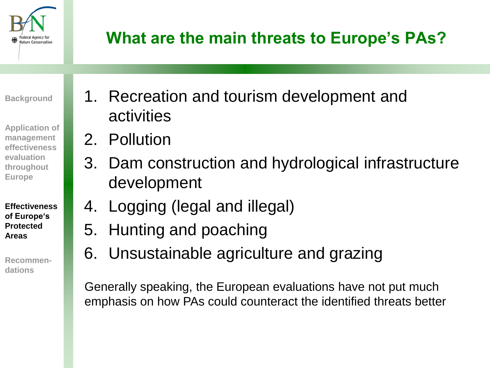

## **What are the main threats to Europe's PAs?**

**Background**

**Application of management effectiveness evaluation throughout Europe**

**Effectiveness of Europe's Protected Areas**

**Recommendations**

- 1. Recreation and tourism development and activities
- 2. Pollution
- 3. Dam construction and hydrological infrastructure development
- 4. Logging (legal and illegal)
- 5. Hunting and poaching
- 6. Unsustainable agriculture and grazing

Generally speaking, the European evaluations have not put much emphasis on how PAs could counteract the identified threats better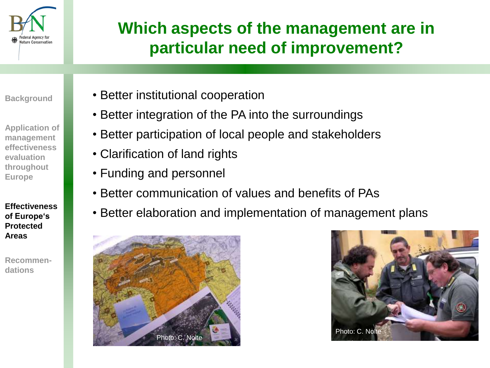

## **Which aspects of the management are in particular need of improvement?**

**Background**

**Application of management effectiveness evaluation throughout Europe**

**Effectiveness of Europe's Protected Areas**

**Recommendations**

- Better institutional cooperation
- Better integration of the PA into the surroundings
- Better participation of local people and stakeholders
- Clarification of land rights
- Funding and personnel
- Better communication of values and benefits of PAs
- Better elaboration and implementation of management plans



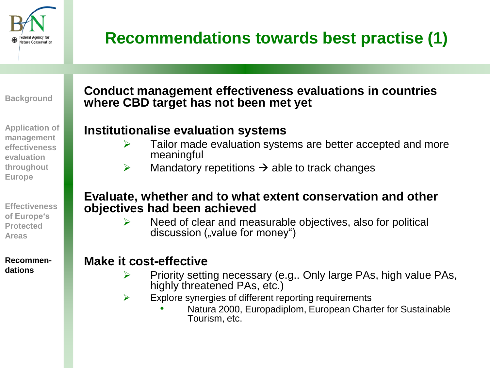

## **Recommendations towards best practise (1)**

**Background**

**Application of management effectiveness evaluation throughout Europe**

**Effectiveness of Europe's Protected Areas**

**Recommendations**

### **Conduct management effectiveness evaluations in countries where CBD target has not been met yet**

### **Institutionalise evaluation systems**

- $\triangleright$  Tailor made evaluation systems are better accepted and more meaningful
- $\triangleright$  Mandatory repetitions  $\rightarrow$  able to track changes

#### **Evaluate, whether and to what extent conservation and other objectives had been achieved**

 Need of clear and measurable objectives, also for political discussion ("value for money")

### **Make it cost-effective**

- Priority setting necessary (e.g.. Only large PAs, high value PAs, highly threatened PAs, etc.)
- $\triangleright$  Explore synergies of different reporting requirements
	- Natura 2000, Europadiplom, European Charter for Sustainable Tourism, etc.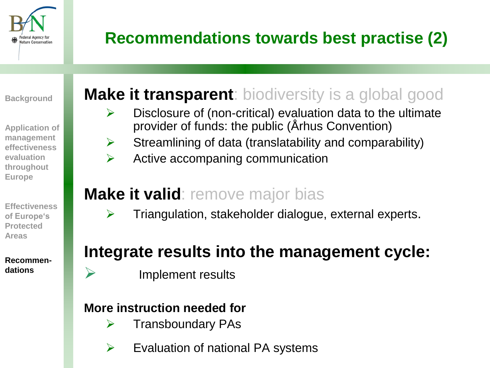

## **Recommendations towards best practise (2)**

**Background**

**Application of management effectiveness evaluation throughout Europe**

**Effectiveness of Europe's Protected Areas**

**Recommendations**

### **Make it transparent**: biodiversity is a global good

- $\triangleright$  Disclosure of (non-critical) evaluation data to the ultimate provider of funds: the public (Århus Convention)
- $\triangleright$  Streamlining of data (translatability and comparability)
- $\triangleright$  Active accompaning communication

## **Make it valid**: remove major bias

 $\triangleright$  Triangulation, stakeholder dialogue, external experts.

## **Integrate results into the management cycle:**

 $\triangleright$  Implement results

### **More instruction needed for**

- $\triangleright$  Transboundary PAs
- $\triangleright$  Evaluation of national PA systems